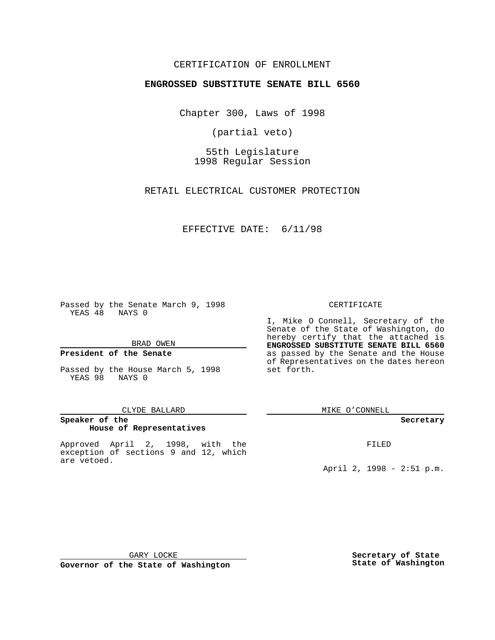## CERTIFICATION OF ENROLLMENT

# **ENGROSSED SUBSTITUTE SENATE BILL 6560**

Chapter 300, Laws of 1998

(partial veto)

55th Legislature 1998 Regular Session

RETAIL ELECTRICAL CUSTOMER PROTECTION

### EFFECTIVE DATE: 6/11/98

Passed by the Senate March 9, 1998 YEAS 48 NAYS 0

#### BRAD OWEN

### **President of the Senate**

Passed by the House March 5, 1998 YEAS 98 NAYS 0

#### CLYDE BALLARD

## **Speaker of the House of Representatives**

Approved April 2, 1998, with the exception of sections 9 and 12, which are vetoed.

#### CERTIFICATE

I, Mike O Connell, Secretary of the Senate of the State of Washington, do hereby certify that the attached is **ENGROSSED SUBSTITUTE SENATE BILL 6560** as passed by the Senate and the House of Representatives on the dates hereon set forth.

MIKE O'CONNELL

### **Secretary**

FILED

April 2, 1998 - 2:51 p.m.

GARY LOCKE

**Governor of the State of Washington**

**Secretary of State State of Washington**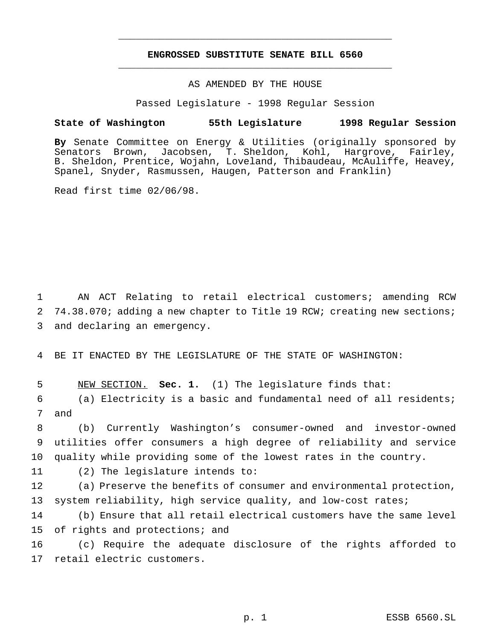## **ENGROSSED SUBSTITUTE SENATE BILL 6560** \_\_\_\_\_\_\_\_\_\_\_\_\_\_\_\_\_\_\_\_\_\_\_\_\_\_\_\_\_\_\_\_\_\_\_\_\_\_\_\_\_\_\_\_\_\_\_

\_\_\_\_\_\_\_\_\_\_\_\_\_\_\_\_\_\_\_\_\_\_\_\_\_\_\_\_\_\_\_\_\_\_\_\_\_\_\_\_\_\_\_\_\_\_\_

### AS AMENDED BY THE HOUSE

Passed Legislature - 1998 Regular Session

### **State of Washington 55th Legislature 1998 Regular Session**

**By** Senate Committee on Energy & Utilities (originally sponsored by Senators Brown, Jacobsen, T. Sheldon, Kohl, Hargrove, Fairley, B. Sheldon, Prentice, Wojahn, Loveland, Thibaudeau, McAuliffe, Heavey, Spanel, Snyder, Rasmussen, Haugen, Patterson and Franklin)

Read first time 02/06/98.

1 AN ACT Relating to retail electrical customers; amending RCW 2 74.38.070; adding a new chapter to Title 19 RCW; creating new sections; 3 and declaring an emergency.

4 BE IT ENACTED BY THE LEGISLATURE OF THE STATE OF WASHINGTON:

5 NEW SECTION. **Sec. 1.** (1) The legislature finds that:

6 (a) Electricity is a basic and fundamental need of all residents; 7 and

8 (b) Currently Washington's consumer-owned and investor-owned 9 utilities offer consumers a high degree of reliability and service 10 quality while providing some of the lowest rates in the country.

11 (2) The legislature intends to:

12 (a) Preserve the benefits of consumer and environmental protection, 13 system reliability, high service quality, and low-cost rates;

14 (b) Ensure that all retail electrical customers have the same level 15 of rights and protections; and

16 (c) Require the adequate disclosure of the rights afforded to 17 retail electric customers.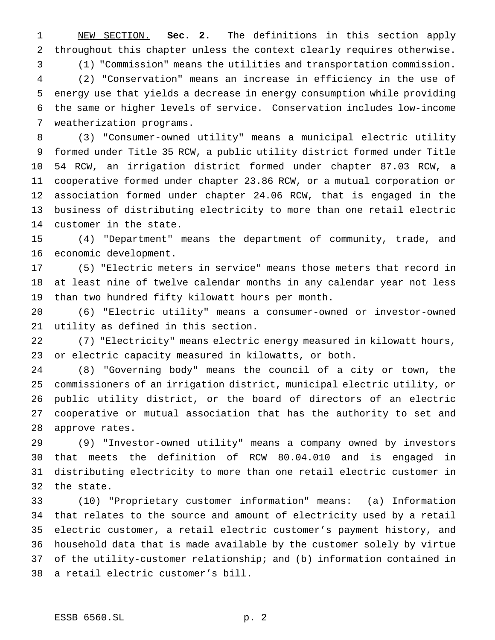NEW SECTION. **Sec. 2.** The definitions in this section apply throughout this chapter unless the context clearly requires otherwise.

 (1) "Commission" means the utilities and transportation commission. (2) "Conservation" means an increase in efficiency in the use of energy use that yields a decrease in energy consumption while providing the same or higher levels of service. Conservation includes low-income weatherization programs.

 (3) "Consumer-owned utility" means a municipal electric utility formed under Title 35 RCW, a public utility district formed under Title 54 RCW, an irrigation district formed under chapter 87.03 RCW, a cooperative formed under chapter 23.86 RCW, or a mutual corporation or association formed under chapter 24.06 RCW, that is engaged in the business of distributing electricity to more than one retail electric customer in the state.

 (4) "Department" means the department of community, trade, and economic development.

 (5) "Electric meters in service" means those meters that record in at least nine of twelve calendar months in any calendar year not less than two hundred fifty kilowatt hours per month.

 (6) "Electric utility" means a consumer-owned or investor-owned utility as defined in this section.

 (7) "Electricity" means electric energy measured in kilowatt hours, or electric capacity measured in kilowatts, or both.

 (8) "Governing body" means the council of a city or town, the commissioners of an irrigation district, municipal electric utility, or public utility district, or the board of directors of an electric cooperative or mutual association that has the authority to set and approve rates.

 (9) "Investor-owned utility" means a company owned by investors that meets the definition of RCW 80.04.010 and is engaged in distributing electricity to more than one retail electric customer in the state.

 (10) "Proprietary customer information" means: (a) Information that relates to the source and amount of electricity used by a retail electric customer, a retail electric customer's payment history, and household data that is made available by the customer solely by virtue of the utility-customer relationship; and (b) information contained in a retail electric customer's bill.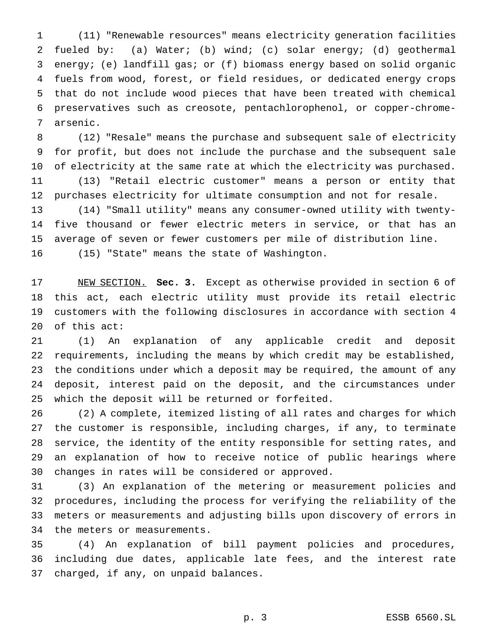(11) "Renewable resources" means electricity generation facilities fueled by: (a) Water; (b) wind; (c) solar energy; (d) geothermal energy; (e) landfill gas; or (f) biomass energy based on solid organic fuels from wood, forest, or field residues, or dedicated energy crops that do not include wood pieces that have been treated with chemical preservatives such as creosote, pentachlorophenol, or copper-chrome-arsenic.

 (12) "Resale" means the purchase and subsequent sale of electricity for profit, but does not include the purchase and the subsequent sale of electricity at the same rate at which the electricity was purchased. (13) "Retail electric customer" means a person or entity that purchases electricity for ultimate consumption and not for resale.

 (14) "Small utility" means any consumer-owned utility with twenty- five thousand or fewer electric meters in service, or that has an average of seven or fewer customers per mile of distribution line. (15) "State" means the state of Washington.

 NEW SECTION. **Sec. 3.** Except as otherwise provided in section 6 of this act, each electric utility must provide its retail electric customers with the following disclosures in accordance with section 4 of this act:

 (1) An explanation of any applicable credit and deposit requirements, including the means by which credit may be established, the conditions under which a deposit may be required, the amount of any deposit, interest paid on the deposit, and the circumstances under which the deposit will be returned or forfeited.

 (2) A complete, itemized listing of all rates and charges for which the customer is responsible, including charges, if any, to terminate service, the identity of the entity responsible for setting rates, and an explanation of how to receive notice of public hearings where changes in rates will be considered or approved.

 (3) An explanation of the metering or measurement policies and procedures, including the process for verifying the reliability of the meters or measurements and adjusting bills upon discovery of errors in the meters or measurements.

 (4) An explanation of bill payment policies and procedures, including due dates, applicable late fees, and the interest rate charged, if any, on unpaid balances.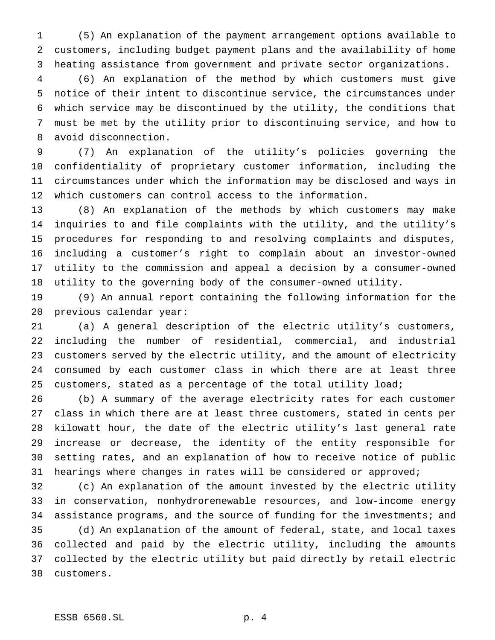(5) An explanation of the payment arrangement options available to customers, including budget payment plans and the availability of home heating assistance from government and private sector organizations.

 (6) An explanation of the method by which customers must give notice of their intent to discontinue service, the circumstances under which service may be discontinued by the utility, the conditions that must be met by the utility prior to discontinuing service, and how to avoid disconnection.

 (7) An explanation of the utility's policies governing the confidentiality of proprietary customer information, including the circumstances under which the information may be disclosed and ways in which customers can control access to the information.

 (8) An explanation of the methods by which customers may make inquiries to and file complaints with the utility, and the utility's procedures for responding to and resolving complaints and disputes, including a customer's right to complain about an investor-owned utility to the commission and appeal a decision by a consumer-owned utility to the governing body of the consumer-owned utility.

 (9) An annual report containing the following information for the previous calendar year:

 (a) A general description of the electric utility's customers, including the number of residential, commercial, and industrial customers served by the electric utility, and the amount of electricity consumed by each customer class in which there are at least three 25 customers, stated as a percentage of the total utility load;

 (b) A summary of the average electricity rates for each customer class in which there are at least three customers, stated in cents per kilowatt hour, the date of the electric utility's last general rate increase or decrease, the identity of the entity responsible for setting rates, and an explanation of how to receive notice of public hearings where changes in rates will be considered or approved;

 (c) An explanation of the amount invested by the electric utility in conservation, nonhydrorenewable resources, and low-income energy assistance programs, and the source of funding for the investments; and (d) An explanation of the amount of federal, state, and local taxes collected and paid by the electric utility, including the amounts collected by the electric utility but paid directly by retail electric customers.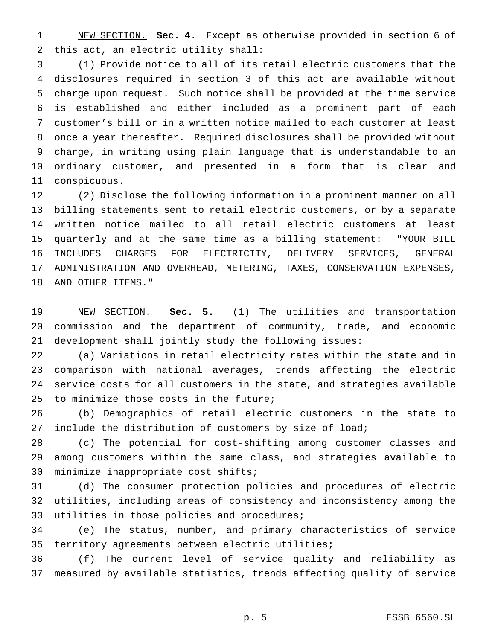NEW SECTION. **Sec. 4.** Except as otherwise provided in section 6 of this act, an electric utility shall:

 (1) Provide notice to all of its retail electric customers that the disclosures required in section 3 of this act are available without charge upon request. Such notice shall be provided at the time service is established and either included as a prominent part of each customer's bill or in a written notice mailed to each customer at least once a year thereafter. Required disclosures shall be provided without charge, in writing using plain language that is understandable to an ordinary customer, and presented in a form that is clear and conspicuous.

 (2) Disclose the following information in a prominent manner on all billing statements sent to retail electric customers, or by a separate written notice mailed to all retail electric customers at least quarterly and at the same time as a billing statement: "YOUR BILL INCLUDES CHARGES FOR ELECTRICITY, DELIVERY SERVICES, GENERAL ADMINISTRATION AND OVERHEAD, METERING, TAXES, CONSERVATION EXPENSES, AND OTHER ITEMS."

 NEW SECTION. **Sec. 5.** (1) The utilities and transportation commission and the department of community, trade, and economic development shall jointly study the following issues:

 (a) Variations in retail electricity rates within the state and in comparison with national averages, trends affecting the electric service costs for all customers in the state, and strategies available to minimize those costs in the future;

 (b) Demographics of retail electric customers in the state to include the distribution of customers by size of load;

 (c) The potential for cost-shifting among customer classes and among customers within the same class, and strategies available to minimize inappropriate cost shifts;

 (d) The consumer protection policies and procedures of electric utilities, including areas of consistency and inconsistency among the utilities in those policies and procedures;

 (e) The status, number, and primary characteristics of service territory agreements between electric utilities;

 (f) The current level of service quality and reliability as measured by available statistics, trends affecting quality of service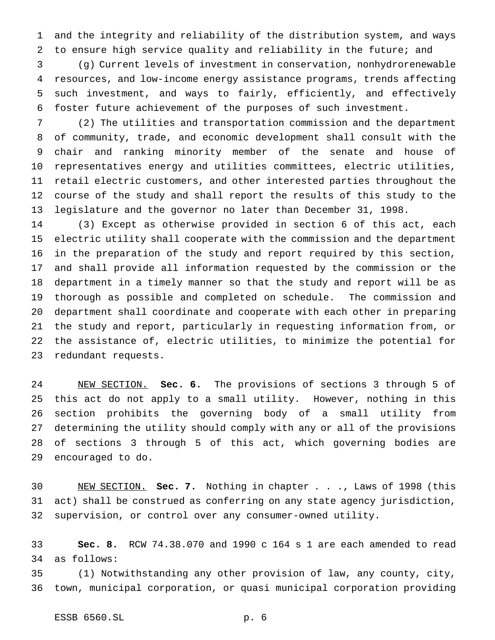and the integrity and reliability of the distribution system, and ways to ensure high service quality and reliability in the future; and

 (g) Current levels of investment in conservation, nonhydrorenewable resources, and low-income energy assistance programs, trends affecting such investment, and ways to fairly, efficiently, and effectively foster future achievement of the purposes of such investment.

 (2) The utilities and transportation commission and the department of community, trade, and economic development shall consult with the chair and ranking minority member of the senate and house of representatives energy and utilities committees, electric utilities, retail electric customers, and other interested parties throughout the course of the study and shall report the results of this study to the legislature and the governor no later than December 31, 1998.

 (3) Except as otherwise provided in section 6 of this act, each electric utility shall cooperate with the commission and the department in the preparation of the study and report required by this section, and shall provide all information requested by the commission or the department in a timely manner so that the study and report will be as thorough as possible and completed on schedule. The commission and department shall coordinate and cooperate with each other in preparing the study and report, particularly in requesting information from, or the assistance of, electric utilities, to minimize the potential for redundant requests.

 NEW SECTION. **Sec. 6.** The provisions of sections 3 through 5 of this act do not apply to a small utility. However, nothing in this section prohibits the governing body of a small utility from determining the utility should comply with any or all of the provisions of sections 3 through 5 of this act, which governing bodies are encouraged to do.

 NEW SECTION. **Sec. 7.** Nothing in chapter . . ., Laws of 1998 (this act) shall be construed as conferring on any state agency jurisdiction, supervision, or control over any consumer-owned utility.

 **Sec. 8.** RCW 74.38.070 and 1990 c 164 s 1 are each amended to read as follows:

 (1) Notwithstanding any other provision of law, any county, city, town, municipal corporation, or quasi municipal corporation providing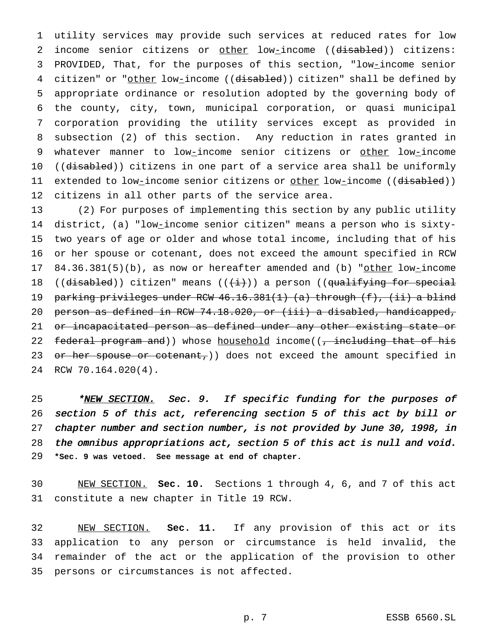utility services may provide such services at reduced rates for low 2 income senior citizens or other low-income ((disabled)) citizens: PROVIDED, That, for the purposes of this section, "low-income senior 4 citizen" or "other low-income ((disabled)) citizen" shall be defined by appropriate ordinance or resolution adopted by the governing body of the county, city, town, municipal corporation, or quasi municipal corporation providing the utility services except as provided in subsection (2) of this section. Any reduction in rates granted in whatever manner to low-income senior citizens or other low-income 10 ((disabled)) citizens in one part of a service area shall be uniformly 11 extended to low-income senior citizens or <u>other</u> low-income ((d<del>isabled</del>)) citizens in all other parts of the service area.

 (2) For purposes of implementing this section by any public utility district, (a) "low-income senior citizen" means a person who is sixty- two years of age or older and whose total income, including that of his or her spouse or cotenant, does not exceed the amount specified in RCW 17 84.36.381(5)(b), as now or hereafter amended and (b) "other low-income 18 ((disabled)) citizen" means ( $(\{\text{ii}\})$  a person ((qualifying for special 19 parking privileges under RCW 46.16.381(1) (a) through (f), (ii) a blind person as defined in RCW 74.18.020, or (iii) a disabled, handicapped, 21 or incapacitated person as defined under any other existing state or 22 federal program and)) whose household income((, including that of his 23 or her spouse or cotenant,)) does not exceed the amount specified in RCW 70.164.020(4).

25 \*NEW SECTION. Sec. 9. If specific funding for the purposes of section <sup>5</sup> of this act, referencing section <sup>5</sup> of this act by bill or chapter number and section number, is not provided by June 30, 1998, in the omnibus appropriations act, section <sup>5</sup> of this act is null and void. **\*Sec. 9 was vetoed. See message at end of chapter.**

 NEW SECTION. **Sec. 10.** Sections 1 through 4, 6, and 7 of this act constitute a new chapter in Title 19 RCW.

 NEW SECTION. **Sec. 11.** If any provision of this act or its application to any person or circumstance is held invalid, the remainder of the act or the application of the provision to other persons or circumstances is not affected.